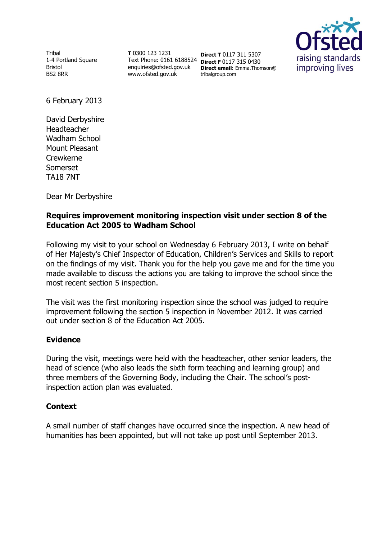Tribal 1-4 Portland Square Bristol BS2 8RR

**T** 0300 123 1231 Text Phone: 0161 6188524 **Direct F** 0117 315 0430 enquiries@ofsted.gov.uk www.ofsted.gov.uk

**Direct T** 0117 311 5307 **Direct email**: Emma.Thomson@ tribalgroup.com



6 February 2013

David Derbyshire Headteacher Wadham School Mount Pleasant Crewkerne Somerset TA18 7NT

Dear Mr Derbyshire

### **Requires improvement monitoring inspection visit under section 8 of the Education Act 2005 to Wadham School**

Following my visit to your school on Wednesday 6 February 2013, I write on behalf of Her Majesty's Chief Inspector of Education, Children's Services and Skills to report on the findings of my visit. Thank you for the help you gave me and for the time you made available to discuss the actions you are taking to improve the school since the most recent section 5 inspection.

The visit was the first monitoring inspection since the school was judged to require improvement following the section 5 inspection in November 2012. It was carried out under section 8 of the Education Act 2005.

#### **Evidence**

During the visit, meetings were held with the headteacher, other senior leaders, the head of science (who also leads the sixth form teaching and learning group) and three members of the Governing Body, including the Chair. The school's postinspection action plan was evaluated.

#### **Context**

A small number of staff changes have occurred since the inspection. A new head of humanities has been appointed, but will not take up post until September 2013.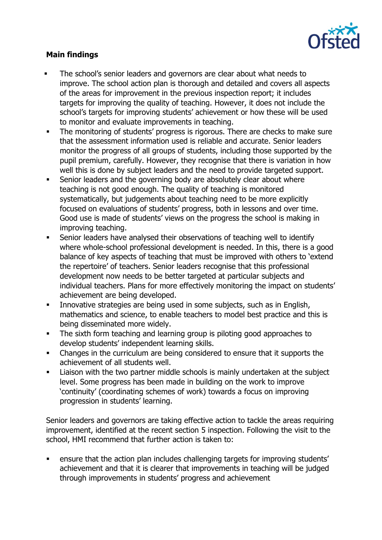

# **Main findings**

- The school's senior leaders and governors are clear about what needs to improve. The school action plan is thorough and detailed and covers all aspects of the areas for improvement in the previous inspection report; it includes targets for improving the quality of teaching. However, it does not include the school's targets for improving students' achievement or how these will be used to monitor and evaluate improvements in teaching.
- The monitoring of students' progress is rigorous. There are checks to make sure that the assessment information used is reliable and accurate. Senior leaders monitor the progress of all groups of students, including those supported by the pupil premium, carefully. However, they recognise that there is variation in how well this is done by subject leaders and the need to provide targeted support.
- Senior leaders and the governing body are absolutely clear about where teaching is not good enough. The quality of teaching is monitored systematically, but judgements about teaching need to be more explicitly focused on evaluations of students' progress, both in lessons and over time. Good use is made of students' views on the progress the school is making in improving teaching.
- Senior leaders have analysed their observations of teaching well to identify where whole-school professional development is needed. In this, there is a good balance of key aspects of teaching that must be improved with others to 'extend the repertoire' of teachers. Senior leaders recognise that this professional development now needs to be better targeted at particular subjects and individual teachers. Plans for more effectively monitoring the impact on students' achievement are being developed.
- **Innovative strategies are being used in some subjects, such as in English,** mathematics and science, to enable teachers to model best practice and this is being disseminated more widely.
- The sixth form teaching and learning group is piloting good approaches to develop students' independent learning skills.
- Changes in the curriculum are being considered to ensure that it supports the achievement of all students well.
- Liaison with the two partner middle schools is mainly undertaken at the subject level. Some progress has been made in building on the work to improve 'continuity' (coordinating schemes of work) towards a focus on improving progression in students' learning.

Senior leaders and governors are taking effective action to tackle the areas requiring improvement, identified at the recent section 5 inspection. Following the visit to the school, HMI recommend that further action is taken to:

 ensure that the action plan includes challenging targets for improving students' achievement and that it is clearer that improvements in teaching will be judged through improvements in students' progress and achievement